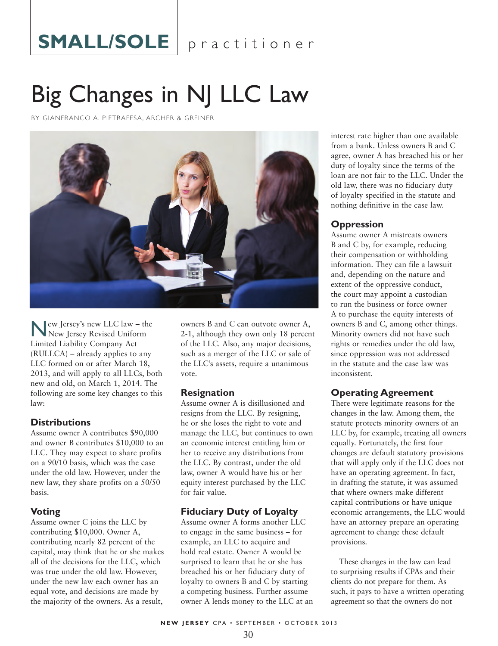# SMALL/SOLE | practitioner

# Big Changes in NJ LLC Law

BY GIANFRANCO A. PIETRAFESA, ARCHER & GREINER



New Jersey's new LLC law – the New Jersey Revised Uniform Limited Liability Company Act (RULLCA) – already applies to any LLC formed on or after March 18, 2013, and will apply to all LLCs, both new and old, on March 1, 2014. The following are some key changes to this law:

#### **Distributions**

Assume owner A contributes \$90,000 and owner B contributes \$10,000 to an LLC. They may expect to share profits on a 90/10 basis, which was the case under the old law. However, under the new law, they share profits on a 50/50 basis.

# **Voting**

Assume owner C joins the LLC by contributing \$10,000. Owner A, contributing nearly 82 percent of the capital, may think that he or she makes all of the decisions for the LLC, which was true under the old law. However, under the new law each owner has an equal vote, and decisions are made by the majority of the owners. As a result,

owners B and C can outvote owner A, 2-1, although they own only 18 percent of the LLC. Also, any major decisions, such as a merger of the LLC or sale of the LLC's assets, require a unanimous vote.

#### **Resignation**

Assume owner A is disillusioned and resigns from the LLC. By resigning, he or she loses the right to vote and manage the LLC, but continues to own an economic interest entitling him or her to receive any distributions from the LLC. By contrast, under the old law, owner A would have his or her equity interest purchased by the LLC for fair value.

# **Fiduciary Duty of Loyalty**

Assume owner A forms another LLC to engage in the same business – for example, an LLC to acquire and hold real estate. Owner A would be surprised to learn that he or she has breached his or her fiduciary duty of loyalty to owners B and C by starting a competing business. Further assume owner A lends money to the LLC at an

interest rate higher than one available from a bank. Unless owners B and C agree, owner A has breached his or her duty of loyalty since the terms of the loan are not fair to the LLC. Under the old law, there was no fiduciary duty of loyalty specified in the statute and nothing definitive in the case law.

# **Oppression**

Assume owner A mistreats owners B and C by, for example, reducing their compensation or withholding information. They can file a lawsuit and, depending on the nature and extent of the oppressive conduct, the court may appoint a custodian to run the business or force owner A to purchase the equity interests of owners B and C, among other things. Minority owners did not have such rights or remedies under the old law, since oppression was not addressed in the statute and the case law was inconsistent.

# **Operating Agreement**

There were legitimate reasons for the changes in the law. Among them, the statute protects minority owners of an LLC by, for example, treating all owners equally. Fortunately, the first four changes are default statutory provisions that will apply only if the LLC does not have an operating agreement. In fact, in drafting the statute, it was assumed that where owners make different capital contributions or have unique economic arrangements, the LLC would have an attorney prepare an operating agreement to change these default provisions.

These changes in the law can lead to surprising results if CPAs and their clients do not prepare for them. As such, it pays to have a written operating agreement so that the owners do not